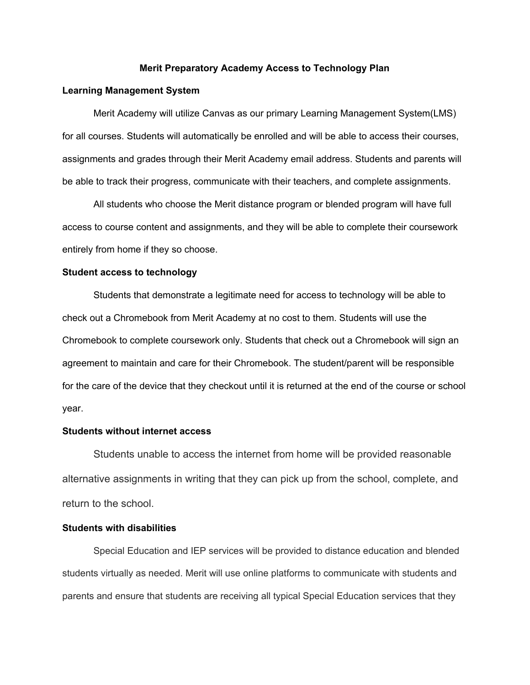#### **Merit Preparatory Academy Access to Technology Plan**

### **Learning Management System**

Merit Academy will utilize Canvas as our primary Learning Management System(LMS) for all courses. Students will automatically be enrolled and will be able to access their courses, assignments and grades through their Merit Academy email address. Students and parents will be able to track their progress, communicate with their teachers, and complete assignments.

All students who choose the Merit distance program or blended program will have full access to course content and assignments, and they will be able to complete their coursework entirely from home if they so choose.

### **Student access to technology**

Students that demonstrate a legitimate need for access to technology will be able to check out a Chromebook from Merit Academy at no cost to them. Students will use the Chromebook to complete coursework only. Students that check out a Chromebook will sign an agreement to maintain and care for their Chromebook. The student/parent will be responsible for the care of the device that they checkout until it is returned at the end of the course or school year.

# **Students without internet access**

Students unable to access the internet from home will be provided reasonable alternative assignments in writing that they can pick up from the school, complete, and return to the school.

#### **Students with disabilities**

Special Education and IEP services will be provided to distance education and blended students virtually as needed. Merit will use online platforms to communicate with students and parents and ensure that students are receiving all typical Special Education services that they